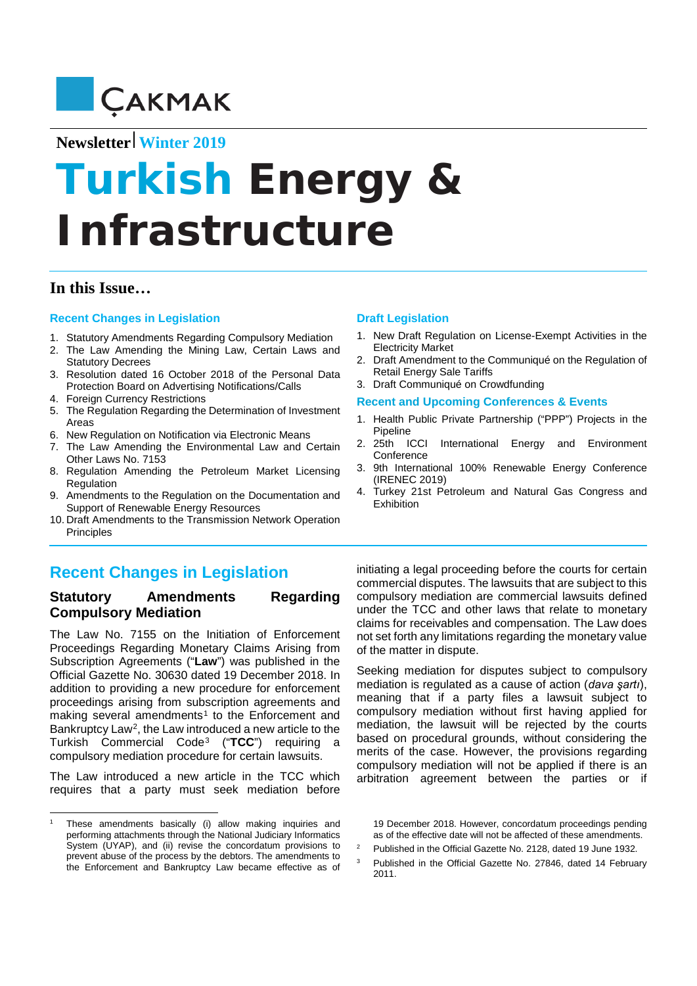

# **Newsletter Winter 2019**

# **Turkish Energy** *&*  **Infrastructure**

## **In this Issue…**

#### **Recent Changes in Legislation**

- 1. Statutory Amendments Regarding Compulsory Mediation
- 2. The Law Amending the Mining Law, Certain Laws and Statutory Decrees
- 3. Resolution dated 16 October 2018 of the Personal Data Protection Board on Advertising Notifications/Calls
- 4. Foreign Currency Restrictions
- 5. The Regulation Regarding the Determination of Investment Areas
- 6. New Regulation on Notification via Electronic Means
- 7. The Law Amending the Environmental Law and Certain Other Laws No. 7153
- 8. Regulation Amending the Petroleum Market Licensing Regulation
- 9. Amendments to the Regulation on the Documentation and Support of Renewable Energy Resources
- 10. Draft Amendments to the Transmission Network Operation Principles

## **Draft Legislation**

- 1. New Draft Regulation on License-Exempt Activities in the Electricity Market
- 2. Draft Amendment to the Communiqué on the Regulation of Retail Energy Sale Tariffs
- 3. Draft Communiqué on Crowdfunding

#### **Recent and Upcoming Conferences & Events**

- 1. Health Public Private Partnership ("PPP") Projects in the Pipeline
- 2. 25th ICCI International Energy and Environment **Conference**
- 3. 9th International 100% Renewable Energy Conference (IRENEC 2019)
- 4. Turkey 21st Petroleum and Natural Gas Congress and Exhibition

# **Recent Changes in Legislation**

## **Statutory Amendments Regarding Compulsory Mediation**

The Law No. 7155 on the Initiation of Enforcement Proceedings Regarding Monetary Claims Arising from Subscription Agreements ("**Law**") was published in the Official Gazette No. 30630 dated 19 December 2018. In addition to providing a new procedure for enforcement proceedings arising from subscription agreements and making several amendments<sup>[1](#page-0-0)</sup> to the Enforcement and Bankruptcy Law<sup>[2](#page-0-1)</sup>, the Law introduced a new article to the Turkish Commercial Code[3](#page-0-2) ("**TCC**") requiring a compulsory mediation procedure for certain lawsuits.

The Law introduced a new article in the TCC which requires that a party must seek mediation before

 $\overline{a}$ 

initiating a legal proceeding before the courts for certain commercial disputes. The lawsuits that are subject to this compulsory mediation are commercial lawsuits defined under the TCC and other laws that relate to monetary claims for receivables and compensation. The Law does not set forth any limitations regarding the monetary value of the matter in dispute.

Seeking mediation for disputes subject to compulsory mediation is regulated as a cause of action (*dava şartı*), meaning that if a party files a lawsuit subject to compulsory mediation without first having applied for mediation, the lawsuit will be rejected by the courts based on procedural grounds, without considering the merits of the case. However, the provisions regarding compulsory mediation will not be applied if there is an arbitration agreement between the parties or if

19 December 2018. However, concordatum proceedings pending as of the effective date will not be affected of these amendments.

- <sup>2</sup> Published in the Official Gazette No. 2128, dated 19 June 1932.
- <sup>3</sup> Published in the Official Gazette No. 27846, dated 14 February 2011.

<span id="page-0-2"></span><span id="page-0-1"></span><span id="page-0-0"></span>These amendments basically (i) allow making inquiries and performing attachments through the National Judiciary Informatics System (UYAP), and (ii) revise the concordatum provisions to prevent abuse of the process by the debtors. The amendments to the Enforcement and Bankruptcy Law became effective as of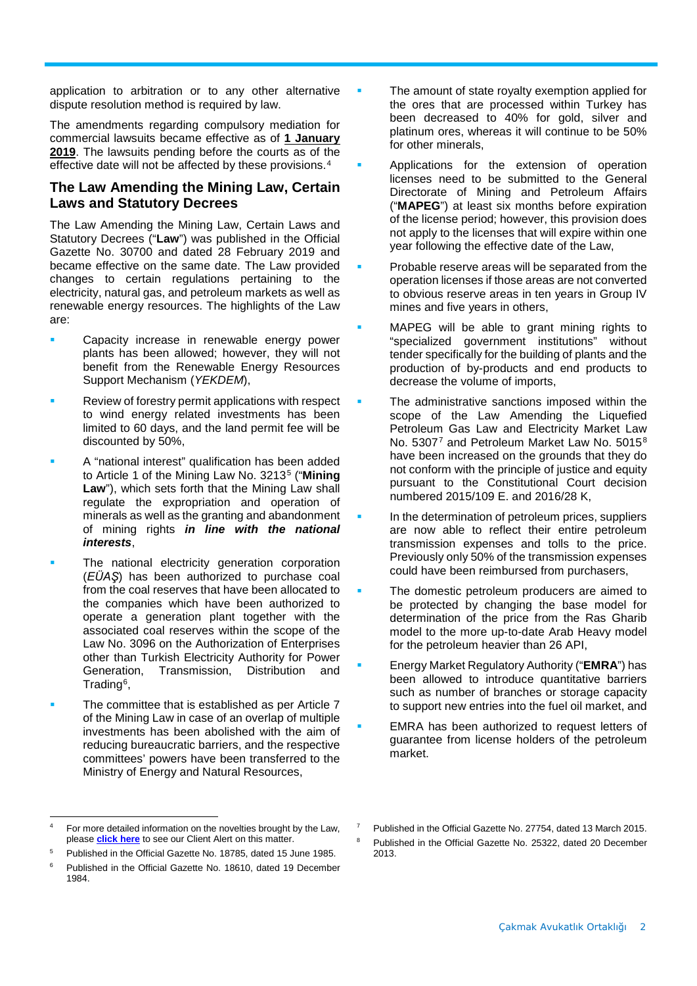application to arbitration or to any other alternative dispute resolution method is required by law.

The amendments regarding compulsory mediation for commercial lawsuits became effective as of **1 January 2019**. The lawsuits pending before the courts as of the effective date will not be affected by these provisions.[4](#page-1-0)

## **The Law Amending the Mining Law, Certain Laws and Statutory Decrees**

The Law Amending the Mining Law, Certain Laws and Statutory Decrees ("**Law**") was published in the Official Gazette No. 30700 and dated 28 February 2019 and became effective on the same date. The Law provided changes to certain regulations pertaining to the electricity, natural gas, and petroleum markets as well as renewable energy resources. The highlights of the Law are:

- Capacity increase in renewable energy power plants has been allowed; however, they will not benefit from the Renewable Energy Resources Support Mechanism (*YEKDEM*),
- Review of forestry permit applications with respect to wind energy related investments has been limited to 60 days, and the land permit fee will be discounted by 50%,
- A "national interest" qualification has been added to Article 1 of the Mining Law No. 3213[5](#page-1-1) ("**Mining Law**"), which sets forth that the Mining Law shall regulate the expropriation and operation of minerals as well as the granting and abandonment of mining rights *in line with the national interests*,
- The national electricity generation corporation (*EÜAŞ*) has been authorized to purchase coal from the coal reserves that have been allocated to the companies which have been authorized to operate a generation plant together with the associated coal reserves within the scope of the Law No. 3096 on the Authorization of Enterprises other than Turkish Electricity Authority for Power Generation, Transmission, Distribution and Trading[6,](#page-1-2)
- The committee that is established as per Article 7 of the Mining Law in case of an overlap of multiple investments has been abolished with the aim of reducing bureaucratic barriers, and the respective committees' powers have been transferred to the Ministry of Energy and Natural Resources,
- The amount of state royalty exemption applied for the ores that are processed within Turkey has been decreased to 40% for gold, silver and platinum ores, whereas it will continue to be 50% for other minerals,
- Applications for the extension of operation licenses need to be submitted to the General Directorate of Mining and Petroleum Affairs ("**MAPEG**") at least six months before expiration of the license period; however, this provision does not apply to the licenses that will expire within one year following the effective date of the Law,
- Probable reserve areas will be separated from the operation licenses if those areas are not converted to obvious reserve areas in ten years in Group IV mines and five years in others,
- MAPEG will be able to grant mining rights to "specialized government institutions" without tender specifically for the building of plants and the production of by-products and end products to decrease the volume of imports,
- The administrative sanctions imposed within the scope of the Law Amending the Liquefied Petroleum Gas Law and Electricity Market Law No. 530[7](#page-1-0)7 and Petroleum Market Law No. 5015[8](#page-1-3) have been increased on the grounds that they do not conform with the principle of justice and equity pursuant to the Constitutional Court decision numbered 2015/109 E. and 2016/28 K,
- In the determination of petroleum prices, suppliers are now able to reflect their entire petroleum transmission expenses and tolls to the price. Previously only 50% of the transmission expenses could have been reimbursed from purchasers,
- The domestic petroleum producers are aimed to be protected by changing the base model for determination of the price from the Ras Gharib model to the more up-to-date Arab Heavy model for the petroleum heavier than 26 API,
- Energy Market Regulatory Authority ("**EMRA**") has been allowed to introduce quantitative barriers such as number of branches or storage capacity to support new entries into the fuel oil market, and
- EMRA has been authorized to request letters of guarantee from license holders of the petroleum market.

<span id="page-1-0"></span> $\overline{a}$ For more detailed information on the novelties brought by the Law. please **[click here](http://cakmak.av.tr/articles/Dispute_Resolution/771081993.pdf)** to see our Client Alert on this matter.

<span id="page-1-3"></span><span id="page-1-1"></span><sup>5</sup> Published in the Official Gazette No. 18785, dated 15 June 1985.

<span id="page-1-2"></span><sup>6</sup> Published in the Official Gazette No. 18610, dated 19 December 1984.

<sup>7</sup> Published in the Official Gazette No. 27754, dated 13 March 2015.

Published in the Official Gazette No. 25322, dated 20 December 2013.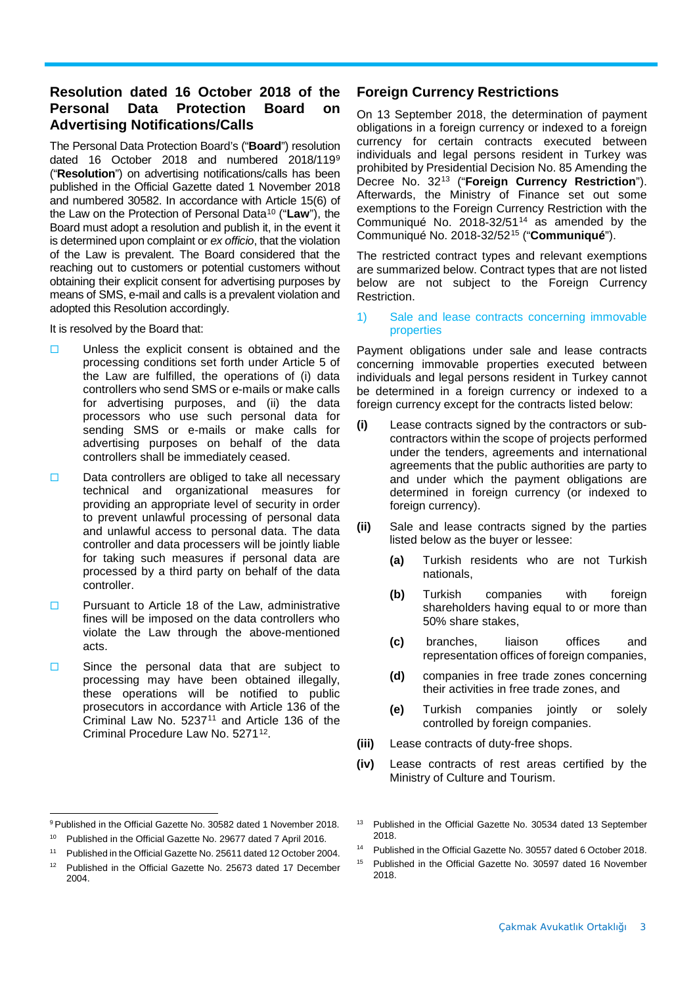## **Resolution dated 16 October 2018 of the Protection Board on Advertising Notifications/Calls**

The Personal Data Protection Board's ("**Board**") resolution dated 16 October 2018 and numbered 2018/119[9](#page-2-0) ("**Resolution**") on advertising notifications/calls has been published in the Official Gazette dated 1 November 2018 and numbered 30582. In accordance with Article 15(6) of the Law on the Protection of Personal Data[10](#page-2-1) ("**Law**"), the Board must adopt a resolution and publish it, in the event it is determined upon complaint or *ex officio*, that the violation of the Law is prevalent. The Board considered that the reaching out to customers or potential customers without obtaining their explicit consent for advertising purposes by means of SMS, e-mail and calls is a prevalent violation and adopted this Resolution accordingly.

It is resolved by the Board that:

- $\Box$  Unless the explicit consent is obtained and the processing conditions set forth under Article 5 of the Law are fulfilled, the operations of (i) data controllers who send SMS or e-mails or make calls for advertising purposes, and (ii) the data processors who use such personal data for sending SMS or e-mails or make calls for advertising purposes on behalf of the data controllers shall be immediately ceased.
- $\square$  Data controllers are obliged to take all necessary technical and organizational measures for providing an appropriate level of security in order to prevent unlawful processing of personal data and unlawful access to personal data. The data controller and data processers will be jointly liable for taking such measures if personal data are processed by a third party on behalf of the data controller.
- $\neg$  Pursuant to Article 18 of the Law, administrative fines will be imposed on the data controllers who violate the Law through the above-mentioned acts.
- $\Box$  Since the personal data that are subject to processing may have been obtained illegally, these operations will be notified to public prosecutors in accordance with Article 136 of the Criminal Law No. 5237<sup>[11](#page-2-2)</sup> and Article 136 of the Criminal Procedure Law No. 5271[12.](#page-2-3)

## **Foreign Currency Restrictions**

On 13 September 2018, the determination of payment obligations in a foreign currency or indexed to a foreign currency for certain contracts executed between individuals and legal persons resident in Turkey was prohibited by Presidential Decision No. 85 Amending the Decree No. 32[13](#page-2-0) ("**Foreign Currency Restriction**"). Afterwards, the Ministry of Finance set out some exemptions to the Foreign Currency Restriction with the Communiqué No.  $2018-32/51^{14}$  $2018-32/51^{14}$  $2018-32/51^{14}$  as amended by the Communiqué No. 2018-32/52[15](#page-2-5) ("**Communiqué**").

The restricted contract types and relevant exemptions are summarized below. Contract types that are not listed below are not subject to the Foreign Currency Restriction.

1) Sale and lease contracts concerning immovable properties

Payment obligations under sale and lease contracts concerning immovable properties executed between individuals and legal persons resident in Turkey cannot be determined in a foreign currency or indexed to a foreign currency except for the contracts listed below:

- **(i)** Lease contracts signed by the contractors or subcontractors within the scope of projects performed under the tenders, agreements and international agreements that the public authorities are party to and under which the payment obligations are determined in foreign currency (or indexed to foreign currency).
- **(ii)** Sale and lease contracts signed by the parties listed below as the buyer or lessee:
	- **(a)** Turkish residents who are not Turkish nationals,
	- **(b)** Turkish companies with foreign shareholders having equal to or more than 50% share stakes,
	- **(c)** branches, liaison offices and representation offices of foreign companies,
	- **(d)** companies in free trade zones concerning their activities in free trade zones, and
	- **(e)** Turkish companies jointly or solely controlled by foreign companies.
- **(iii)** Lease contracts of duty-free shops.
- **(iv)** Lease contracts of rest areas certified by the Ministry of Culture and Tourism.

<span id="page-2-0"></span> $\overline{a}$ <sup>9</sup> Published in the Official Gazette No. 30582 dated 1 November 2018.

<span id="page-2-1"></span><sup>10</sup> Published in the Official Gazette No. 29677 dated 7 April 2016.

<span id="page-2-4"></span><span id="page-2-2"></span><sup>11</sup> Published in the Official Gazette No. 25611 dated 12 October 2004.

<span id="page-2-5"></span><span id="page-2-3"></span><sup>&</sup>lt;sup>12</sup> Published in the Official Gazette No. 25673 dated 17 December 2004.

<sup>&</sup>lt;sup>13</sup> Published in the Official Gazette No. 30534 dated 13 September 2018.

<sup>14</sup> Published in the Official Gazette No. 30557 dated 6 October 2018.

<sup>15</sup> Published in the Official Gazette No. 30597 dated 16 November 2018.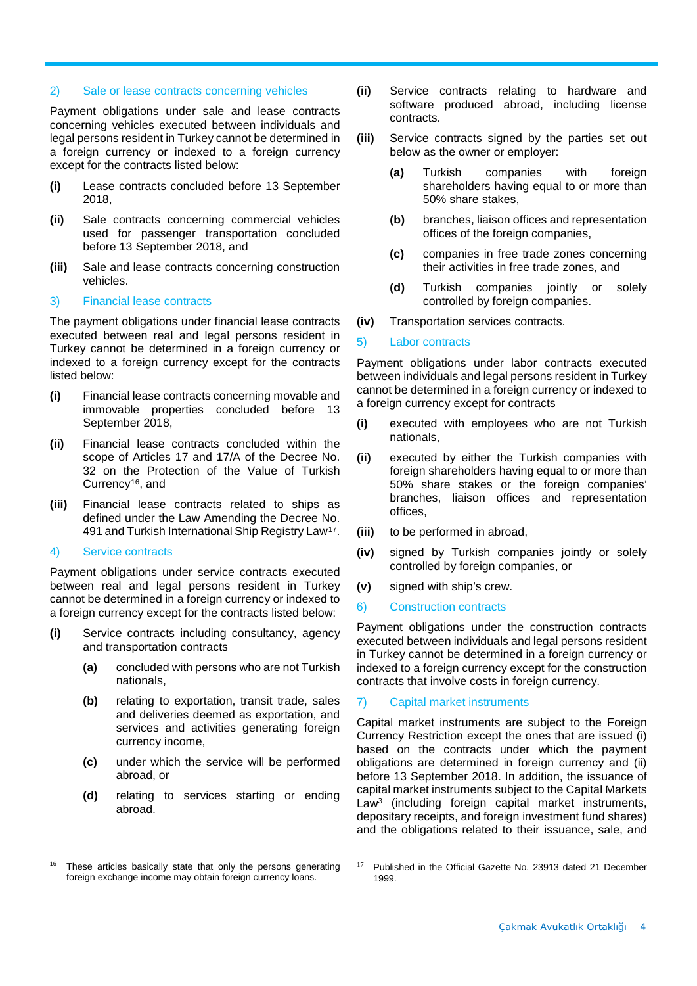#### 2) Sale or lease contracts concerning vehicles

Payment obligations under sale and lease contracts concerning vehicles executed between individuals and legal persons resident in Turkey cannot be determined in a foreign currency or indexed to a foreign currency except for the contracts listed below:

- **(i)** Lease contracts concluded before 13 September 2018,
- **(ii)** Sale contracts concerning commercial vehicles used for passenger transportation concluded before 13 September 2018, and
- **(iii)** Sale and lease contracts concerning construction vehicles.

#### 3) Financial lease contracts

The payment obligations under financial lease contracts executed between real and legal persons resident in Turkey cannot be determined in a foreign currency or indexed to a foreign currency except for the contracts listed below:

- **(i)** Financial lease contracts concerning movable and immovable properties concluded before 13 September 2018,
- **(ii)** Financial lease contracts concluded within the scope of Articles 17 and 17/A of the Decree No. 32 on the Protection of the Value of Turkish Currency[16](#page-3-0), and
- **(iii)** Financial lease contracts related to ships as defined under the Law Amending the Decree No. 491 and Turkish International Ship Registry Law[17.](#page-3-0)

#### 4) Service contracts

 $\overline{a}$ 

Payment obligations under service contracts executed between real and legal persons resident in Turkey cannot be determined in a foreign currency or indexed to a foreign currency except for the contracts listed below:

- **(i)** Service contracts including consultancy, agency and transportation contracts
	- **(a)** concluded with persons who are not Turkish nationals,
	- **(b)** relating to exportation, transit trade, sales and deliveries deemed as exportation, and services and activities generating foreign currency income,
	- **(c)** under which the service will be performed abroad, or
	- **(d)** relating to services starting or ending abroad.
- **(ii)** Service contracts relating to hardware and software produced abroad, including license contracts.
- **(iii)** Service contracts signed by the parties set out below as the owner or employer:
	- **(a)** Turkish companies with foreign shareholders having equal to or more than 50% share stakes,
	- **(b)** branches, liaison offices and representation offices of the foreign companies,
	- **(c)** companies in free trade zones concerning their activities in free trade zones, and
	- **(d)** Turkish companies jointly or solely controlled by foreign companies.
- **(iv)** Transportation services contracts.

#### 5) Labor contracts

Payment obligations under labor contracts executed between individuals and legal persons resident in Turkey cannot be determined in a foreign currency or indexed to a foreign currency except for contracts

- **(i)** executed with employees who are not Turkish nationals,
- **(ii)** executed by either the Turkish companies with foreign shareholders having equal to or more than 50% share stakes or the foreign companies' branches, liaison offices and representation offices,
- **(iii)** to be performed in abroad,
- **(iv)** signed by Turkish companies jointly or solely controlled by foreign companies, or
- **(v)** signed with ship's crew.

#### 6) Construction contracts

Payment obligations under the construction contracts executed between individuals and legal persons resident in Turkey cannot be determined in a foreign currency or indexed to a foreign currency except for the construction contracts that involve costs in foreign currency.

#### 7) Capital market instruments

Capital market instruments are subject to the Foreign Currency Restriction except the ones that are issued (i) based on the contracts under which the payment obligations are determined in foreign currency and (ii) before 13 September 2018. In addition, the issuance of capital market instruments subject to the Capital Markets Law<sup>3</sup> (including foreign capital market instruments, depositary receipts, and foreign investment fund shares) and the obligations related to their issuance, sale, and

<span id="page-3-0"></span>These articles basically state that only the persons generating foreign exchange income may obtain foreign currency loans.

 $17$  Published in the Official Gazette No. 23913 dated 21 December 1999.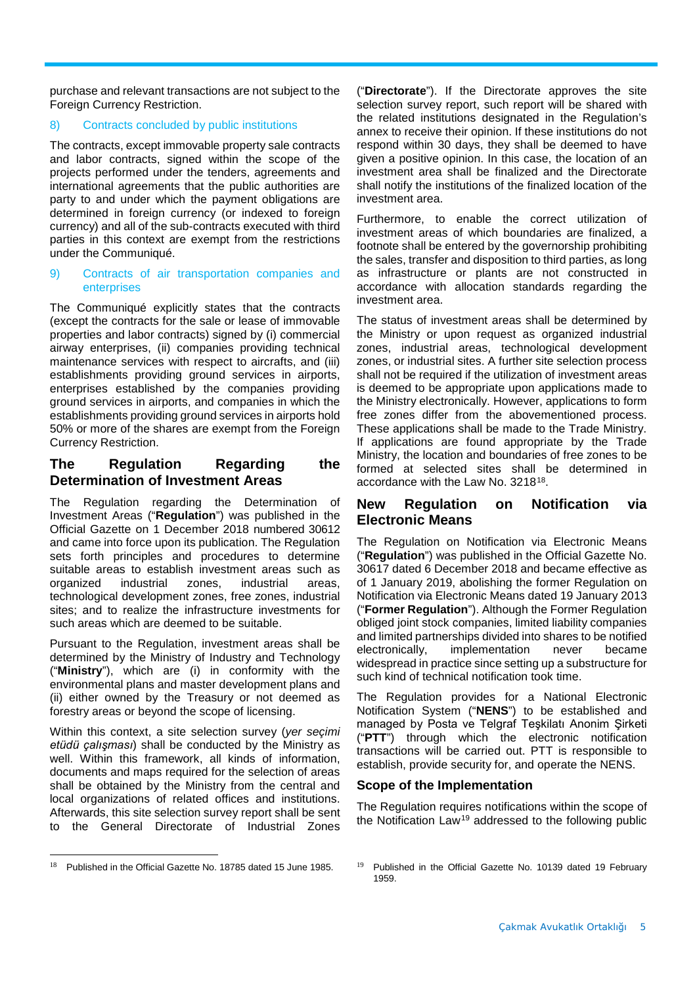purchase and relevant transactions are not subject to the Foreign Currency Restriction.

## 8) Contracts concluded by public institutions

The contracts, except immovable property sale contracts and labor contracts, signed within the scope of the projects performed under the tenders, agreements and international agreements that the public authorities are party to and under which the payment obligations are determined in foreign currency (or indexed to foreign currency) and all of the sub-contracts executed with third parties in this context are exempt from the restrictions under the Communiqué.

#### 9) Contracts of air transportation companies and enterprises

The Communiqué explicitly states that the contracts (except the contracts for the sale or lease of immovable properties and labor contracts) signed by (i) commercial airway enterprises, (ii) companies providing technical maintenance services with respect to aircrafts, and (iii) establishments providing ground services in airports, enterprises established by the companies providing ground services in airports, and companies in which the establishments providing ground services in airports hold 50% or more of the shares are exempt from the Foreign Currency Restriction.

## **The Regulation Regarding the Determination of Investment Areas**

The Regulation regarding the Determination of Investment Areas ("**Regulation**") was published in the Official Gazette on 1 December 2018 numbered 30612 and came into force upon its publication. The Regulation sets forth principles and procedures to determine suitable areas to establish investment areas such as organized industrial zones, industrial areas, technological development zones, free zones, industrial sites; and to realize the infrastructure investments for such areas which are deemed to be suitable.

Pursuant to the Regulation, investment areas shall be determined by the Ministry of Industry and Technology ("**Ministry**"), which are (i) in conformity with the environmental plans and master development plans and (ii) either owned by the Treasury or not deemed as forestry areas or beyond the scope of licensing.

Within this context, a site selection survey (*yer seçimi etüdü çalışması*) shall be conducted by the Ministry as well. Within this framework, all kinds of information, documents and maps required for the selection of areas shall be obtained by the Ministry from the central and local organizations of related offices and institutions. Afterwards, this site selection survey report shall be sent to the General Directorate of Industrial Zones

<span id="page-4-0"></span> $18$  Published in the Official Gazette No. 18785 dated 15 June 1985.

("**Directorate**"). If the Directorate approves the site selection survey report, such report will be shared with the related institutions designated in the Regulation's annex to receive their opinion. If these institutions do not respond within 30 days, they shall be deemed to have given a positive opinion. In this case, the location of an investment area shall be finalized and the Directorate shall notify the institutions of the finalized location of the investment area.

Furthermore, to enable the correct utilization of investment areas of which boundaries are finalized, a footnote shall be entered by the governorship prohibiting the sales, transfer and disposition to third parties, as long as infrastructure or plants are not constructed in accordance with allocation standards regarding the investment area.

The status of investment areas shall be determined by the Ministry or upon request as organized industrial zones, industrial areas, technological development zones, or industrial sites. A further site selection process shall not be required if the utilization of investment areas is deemed to be appropriate upon applications made to the Ministry electronically. However, applications to form free zones differ from the abovementioned process. These applications shall be made to the Trade Ministry. If applications are found appropriate by the Trade Ministry, the location and boundaries of free zones to be formed at selected sites shall be determined in accordance with the Law No. 3218[18.](#page-4-0)

## **New Regulation on Notification via Electronic Means**

The Regulation on Notification via Electronic Means ("**Regulation**") was published in the Official Gazette No. 30617 dated 6 December 2018 and became effective as of 1 January 2019, abolishing the former Regulation on Notification via Electronic Means dated 19 January 2013 ("**Former Regulation**"). Although the Former Regulation obliged joint stock companies, limited liability companies and limited partnerships divided into shares to be notified electronically, implementation never became widespread in practice since setting up a substructure for such kind of technical notification took time.

The Regulation provides for a National Electronic Notification System ("**NENS**") to be established and managed by Posta ve Telgraf Teşkilatı Anonim Şirketi ("**PTT**") through which the electronic notification transactions will be carried out. PTT is responsible to establish, provide security for, and operate the NENS.

#### **Scope of the Implementation**

The Regulation requires notifications within the scope of the Notification Law[19](#page-4-0) addressed to the following public

<sup>&</sup>lt;sup>19</sup> Published in the Official Gazette No. 10139 dated 19 February 1959.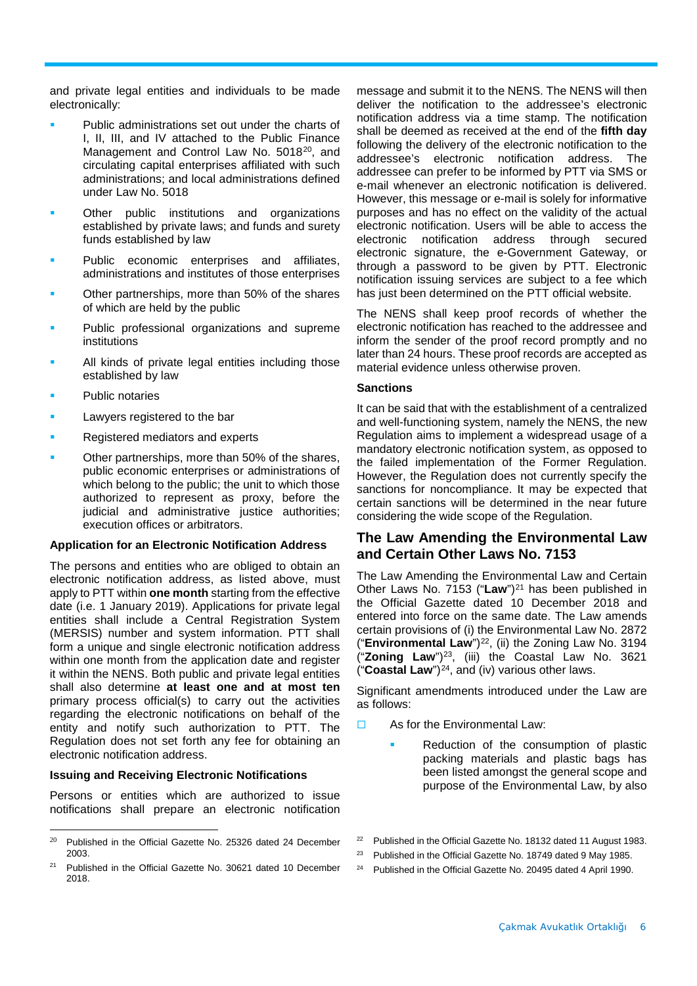and private legal entities and individuals to be made electronically:

- Public administrations set out under the charts of I, II, III, and IV attached to the Public Finance Management and Control Law No. 5018<sup>[20](#page-5-0)</sup>, and circulating capital enterprises affiliated with such administrations; and local administrations defined under Law No. 5018
- Other public institutions and organizations established by private laws; and funds and surety funds established by law
- Public economic enterprises and affiliates, administrations and institutes of those enterprises
- Other partnerships, more than 50% of the shares of which are held by the public
- Public professional organizations and supreme institutions
- All kinds of private legal entities including those established by law
- Public notaries
- Lawyers registered to the bar
- Registered mediators and experts
- Other partnerships, more than 50% of the shares, public economic enterprises or administrations of which belong to the public; the unit to which those authorized to represent as proxy, before the judicial and administrative justice authorities; execution offices or arbitrators.

#### **Application for an Electronic Notification Address**

The persons and entities who are obliged to obtain an electronic notification address, as listed above, must apply to PTT within **one month** starting from the effective date (i.e. 1 January 2019). Applications for private legal entities shall include a Central Registration System (MERSIS) number and system information. PTT shall form a unique and single electronic notification address within one month from the application date and register it within the NENS. Both public and private legal entities shall also determine **at least one and at most ten** primary process official(s) to carry out the activities regarding the electronic notifications on behalf of the entity and notify such authorization to PTT. The Regulation does not set forth any fee for obtaining an electronic notification address.

#### **Issuing and Receiving Electronic Notifications**

Persons or entities which are authorized to issue notifications shall prepare an electronic notification

message and submit it to the NENS. The NENS will then deliver the notification to the addressee's electronic notification address via a time stamp. The notification shall be deemed as received at the end of the **fifth day** following the delivery of the electronic notification to the addressee's electronic notification address. The addressee can prefer to be informed by PTT via SMS or e-mail whenever an electronic notification is delivered. However, this message or e-mail is solely for informative purposes and has no effect on the validity of the actual electronic notification. Users will be able to access the electronic notification address through secured electronic signature, the e-Government Gateway, or through a password to be given by PTT. Electronic notification issuing services are subject to a fee which has just been determined on the PTT official website.

The NENS shall keep proof records of whether the electronic notification has reached to the addressee and inform the sender of the proof record promptly and no later than 24 hours. These proof records are accepted as material evidence unless otherwise proven.

#### **Sanctions**

It can be said that with the establishment of a centralized and well-functioning system, namely the NENS, the new Regulation aims to implement a widespread usage of a mandatory electronic notification system, as opposed to the failed implementation of the Former Regulation. However, the Regulation does not currently specify the sanctions for noncompliance. It may be expected that certain sanctions will be determined in the near future considering the wide scope of the Regulation.

## **The Law Amending the Environmental Law and Certain Other Laws No. 7153**

The Law Amending the Environmental Law and Certain Other Laws No. 7153 ("Law")<sup>[21](#page-5-1)</sup> has been published in the Official Gazette dated 10 December 2018 and entered into force on the same date. The Law amends certain provisions of (i) the Environmental Law No. 2872 ("**Environmental Law**")[22](#page-5-0), (ii) the Zoning Law No. 3194 ("**Zoning Law**")[23](#page-5-2), (iii) the Coastal Law No. 3621 ("**Coastal Law**")[24](#page-5-3), and (iv) various other laws.

Significant amendments introduced under the Law are as follows:

- $\Box$  As for the Environmental Law:
	- Reduction of the consumption of plastic packing materials and plastic bags has been listed amongst the general scope and purpose of the Environmental Law, by also

<span id="page-5-0"></span> $20$  Published in the Official Gazette No. 25326 dated 24 December 2003.

<span id="page-5-3"></span><span id="page-5-2"></span><span id="page-5-1"></span> $21$  Published in the Official Gazette No. 30621 dated 10 December 2018.

<sup>&</sup>lt;sup>22</sup> Published in the Official Gazette No. 18132 dated 11 August 1983.

<sup>&</sup>lt;sup>23</sup> Published in the Official Gazette No. 18749 dated 9 May 1985.

<sup>&</sup>lt;sup>24</sup> Published in the Official Gazette No. 20495 dated 4 April 1990.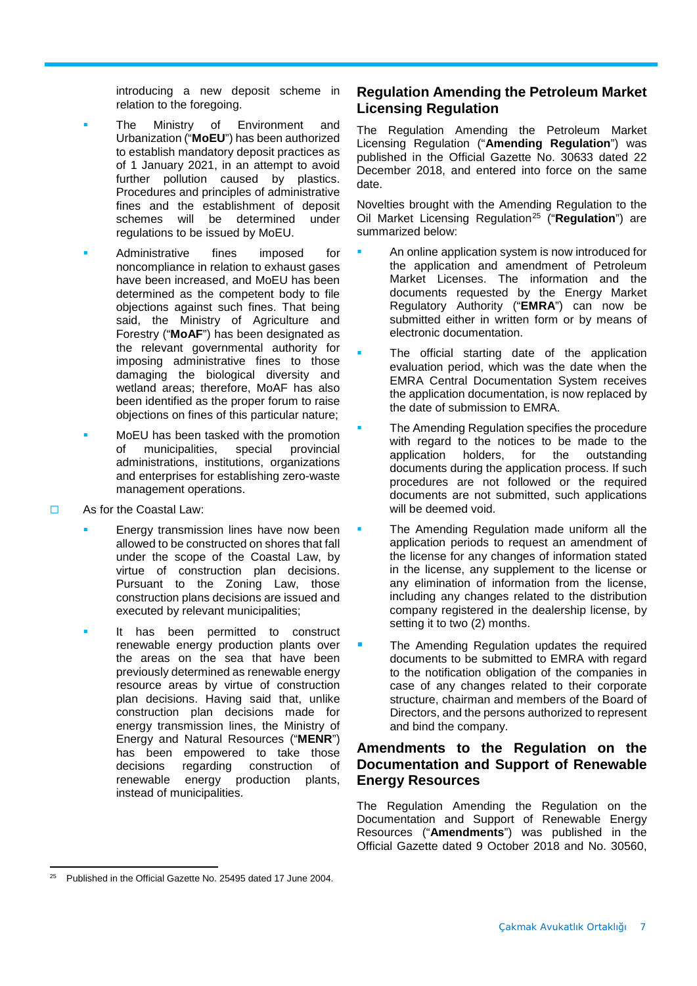introducing a new deposit scheme in relation to the foregoing.

- The Ministry of Environment and Urbanization ("**MoEU**") has been authorized to establish mandatory deposit practices as of 1 January 2021, in an attempt to avoid further pollution caused by plastics. Procedures and principles of administrative fines and the establishment of deposit schemes will be determined under regulations to be issued by MoEU.
- Administrative fines imposed for noncompliance in relation to exhaust gases have been increased, and MoEU has been determined as the competent body to file objections against such fines. That being said, the Ministry of Agriculture and Forestry ("**MoAF**") has been designated as the relevant governmental authority for imposing administrative fines to those damaging the biological diversity and wetland areas; therefore, MoAF has also been identified as the proper forum to raise objections on fines of this particular nature;
- MoEU has been tasked with the promotion of municipalities, special provincial administrations, institutions, organizations and enterprises for establishing zero-waste management operations.
- □ As for the Coastal Law:
	- Energy transmission lines have now been allowed to be constructed on shores that fall under the scope of the Coastal Law, by virtue of construction plan decisions. Pursuant to the Zoning Law, those construction plans decisions are issued and executed by relevant municipalities;
	- It has been permitted to construct renewable energy production plants over the areas on the sea that have been previously determined as renewable energy resource areas by virtue of construction plan decisions. Having said that, unlike construction plan decisions made for energy transmission lines, the Ministry of Energy and Natural Resources ("**MENR**") has been empowered to take those<br>decisions regarding construction of construction of renewable energy production plants, instead of municipalities.

## **Regulation Amending the Petroleum Market Licensing Regulation**

The Regulation Amending the Petroleum Market Licensing Regulation ("**Amending Regulation**") was published in the Official Gazette No. 30633 dated 22 December 2018, and entered into force on the same date.

Novelties brought with the Amending Regulation to the Oil Market Licensing Regulation[25](#page-6-0) ("**Regulation**") are summarized below:

- An online application system is now introduced for the application and amendment of Petroleum Market Licenses. The information and the documents requested by the Energy Market Regulatory Authority ("**EMRA**") can now be submitted either in written form or by means of electronic documentation.
- The official starting date of the application evaluation period, which was the date when the EMRA Central Documentation System receives the application documentation, is now replaced by the date of submission to EMRA.
- The Amending Regulation specifies the procedure with regard to the notices to be made to the application holders, for the outstanding for the outstanding documents during the application process. If such procedures are not followed or the required documents are not submitted, such applications will be deemed void.
- The Amending Regulation made uniform all the application periods to request an amendment of the license for any changes of information stated in the license, any supplement to the license or any elimination of information from the license, including any changes related to the distribution company registered in the dealership license, by setting it to two (2) months.
- The Amending Regulation updates the required documents to be submitted to EMRA with regard to the notification obligation of the companies in case of any changes related to their corporate structure, chairman and members of the Board of Directors, and the persons authorized to represent and bind the company.

## **Amendments to the Regulation on the Documentation and Support of Renewable Energy Resources**

The Regulation Amending the Regulation on the Documentation and Support of Renewable Energy Resources ("**Amendments**") was published in the Official Gazette dated 9 October 2018 and No. 30560,

<span id="page-6-0"></span> $\overline{a}$ <sup>25</sup> Published in the Official Gazette No. 25495 dated 17 June 2004.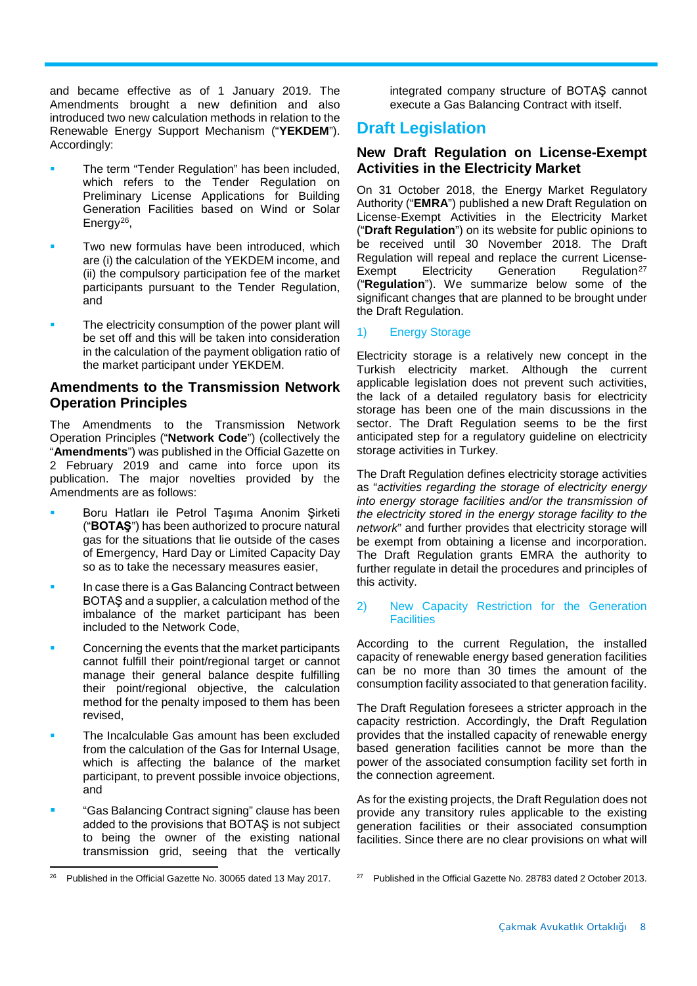and became effective as of 1 January 2019. The Amendments brought a new definition and also introduced two new calculation methods in relation to the Renewable Energy Support Mechanism ("**YEKDEM**"). Accordingly:

- The term "Tender Regulation" has been included, which refers to the Tender Regulation on Preliminary License Applications for Building Generation Facilities based on Wind or Solar Energy[26](#page-7-0),
- Two new formulas have been introduced, which are (i) the calculation of the YEKDEM income, and (ii) the compulsory participation fee of the market participants pursuant to the Tender Regulation, and
- The electricity consumption of the power plant will be set off and this will be taken into consideration in the calculation of the payment obligation ratio of the market participant under YEKDEM.

## **Amendments to the Transmission Network Operation Principles**

The Amendments to the Transmission Network Operation Principles ("**Network Code**") (collectively the "**Amendments**") was published in the Official Gazette on 2 February 2019 and came into force upon its publication. The major novelties provided by the Amendments are as follows:

- Boru Hatları ile Petrol Taşıma Anonim Şirketi ("**BOTAŞ**") has been authorized to procure natural gas for the situations that lie outside of the cases of Emergency, Hard Day or Limited Capacity Day so as to take the necessary measures easier,
- In case there is a Gas Balancing Contract between BOTAŞ and a supplier, a calculation method of the imbalance of the market participant has been included to the Network Code,
- Concerning the events that the market participants cannot fulfill their point/regional target or cannot manage their general balance despite fulfilling their point/regional objective, the calculation method for the penalty imposed to them has been revised,
- The Incalculable Gas amount has been excluded from the calculation of the Gas for Internal Usage, which is affecting the balance of the market participant, to prevent possible invoice objections, and
- "Gas Balancing Contract signing" clause has been added to the provisions that BOTAŞ is not subject to being the owner of the existing national transmission grid, seeing that the vertically

integrated company structure of BOTAŞ cannot execute a Gas Balancing Contract with itself.

# **Draft Legislation**

## **New Draft Regulation on License-Exempt Activities in the Electricity Market**

On 31 October 2018, the Energy Market Regulatory Authority ("**EMRA**") published a new Draft Regulation on License-Exempt Activities in the Electricity Market ("**Draft Regulation**") on its website for public opinions to be received until 30 November 2018. The Draft Regulation will repeal and replace the current License-<br>Exempt Electricity Generation Regulation<sup>27</sup> Exempt Electricity Generation Regulation<sup>[27](#page-7-0)</sup> ("**Regulation**"). We summarize below some of the significant changes that are planned to be brought under the Draft Regulation.

## 1) Energy Storage

Electricity storage is a relatively new concept in the Turkish electricity market. Although the current applicable legislation does not prevent such activities, the lack of a detailed regulatory basis for electricity storage has been one of the main discussions in the sector. The Draft Regulation seems to be the first anticipated step for a regulatory guideline on electricity storage activities in Turkey.

The Draft Regulation defines electricity storage activities as "*activities regarding the storage of electricity energy into energy storage facilities and/or the transmission of the electricity stored in the energy storage facility to the network*" and further provides that electricity storage will be exempt from obtaining a license and incorporation. The Draft Regulation grants EMRA the authority to further regulate in detail the procedures and principles of this activity.

#### 2) New Capacity Restriction for the Generation **Facilities**

According to the current Regulation, the installed capacity of renewable energy based generation facilities can be no more than 30 times the amount of the consumption facility associated to that generation facility.

The Draft Regulation foresees a stricter approach in the capacity restriction. Accordingly, the Draft Regulation provides that the installed capacity of renewable energy based generation facilities cannot be more than the power of the associated consumption facility set forth in the connection agreement.

As for the existing projects, the Draft Regulation does not provide any transitory rules applicable to the existing generation facilities or their associated consumption facilities. Since there are no clear provisions on what will

<span id="page-7-0"></span> $\overline{a}$ <sup>26</sup> Published in the Official Gazette No. 30065 dated 13 May 2017.

<sup>27</sup> Published in the Official Gazette No. 28783 dated 2 October 2013.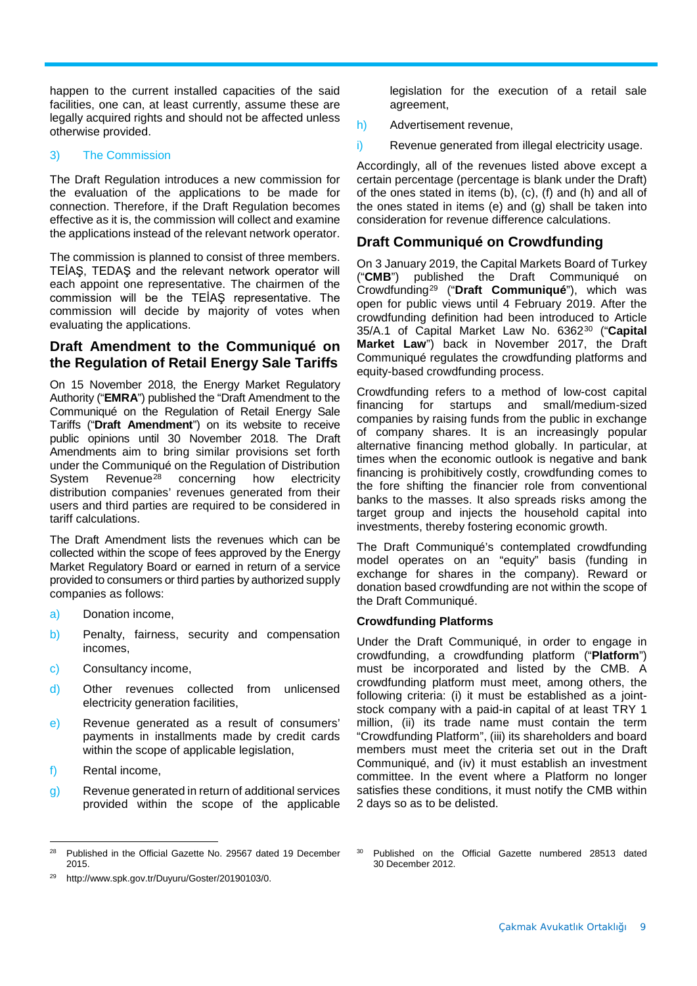happen to the current installed capacities of the said facilities, one can, at least currently, assume these are legally acquired rights and should not be affected unless otherwise provided.

#### 3) The Commission

The Draft Regulation introduces a new commission for the evaluation of the applications to be made for connection. Therefore, if the Draft Regulation becomes effective as it is, the commission will collect and examine the applications instead of the relevant network operator.

The commission is planned to consist of three members. TEİAŞ, TEDAŞ and the relevant network operator will each appoint one representative. The chairmen of the commission will be the TEİAŞ representative. The commission will decide by majority of votes when evaluating the applications.

## **Draft Amendment to the Communiqué on the Regulation of Retail Energy Sale Tariffs**

On 15 November 2018, the Energy Market Regulatory Authority ("**EMRA**") published the "Draft Amendment to the Communiqué on the Regulation of Retail Energy Sale Tariffs ("**Draft Amendment**") on its website to receive public opinions until 30 November 2018. The Draft Amendments aim to bring similar provisions set forth under the Communiqué on the Regulation of Distribution System Revenue<sup>[28](#page-8-0)</sup> concerning how electricity distribution companies' revenues generated from their users and third parties are required to be considered in tariff calculations.

The Draft Amendment lists the revenues which can be collected within the scope of fees approved by the Energy Market Regulatory Board or earned in return of a service provided to consumers or third parties by authorized supply companies as follows:

- a) Donation income,
- b) Penalty, fairness, security and compensation incomes,
- c) Consultancy income,
- d) Other revenues collected from unlicensed electricity generation facilities,
- e) Revenue generated as a result of consumers' payments in installments made by credit cards within the scope of applicable legislation,
- f) Rental income,
- g) Revenue generated in return of additional services provided within the scope of the applicable

legislation for the execution of a retail sale agreement,

- h) Advertisement revenue,
- i) Revenue generated from illegal electricity usage.

Accordingly, all of the revenues listed above except a certain percentage (percentage is blank under the Draft) of the ones stated in items (b), (c), (f) and (h) and all of the ones stated in items (e) and (g) shall be taken into consideration for revenue difference calculations.

## **Draft Communiqué on Crowdfunding**

On 3 January 2019, the Capital Markets Board of Turkey ("**CMB**") published the Draft Communiqué on Crowdfunding[29](#page-8-1) ("**Draft Communiqué**"), which was open for public views until 4 February 2019. After the crowdfunding definition had been introduced to Article 35/A.1 of Capital Market Law No. 6362[30](#page-8-0) ("**Capital Market Law**") back in November 2017, the Draft Communiqué regulates the crowdfunding platforms and equity-based crowdfunding process.

Crowdfunding refers to a method of low-cost capital financing for startups and small/medium-sized companies by raising funds from the public in exchange of company shares. It is an increasingly popular alternative financing method globally. In particular, at times when the economic outlook is negative and bank financing is prohibitively costly, crowdfunding comes to the fore shifting the financier role from conventional banks to the masses. It also spreads risks among the target group and injects the household capital into investments, thereby fostering economic growth.

The Draft Communiqué's contemplated crowdfunding model operates on an "equity" basis (funding in exchange for shares in the company). Reward or donation based crowdfunding are not within the scope of the Draft Communiqué.

#### **Crowdfunding Platforms**

Under the Draft Communiqué, in order to engage in crowdfunding, a crowdfunding platform ("**Platform**") must be incorporated and listed by the CMB. A crowdfunding platform must meet, among others, the following criteria: (i) it must be established as a jointstock company with a paid-in capital of at least TRY 1 million, (ii) its trade name must contain the term "Crowdfunding Platform", (iii) its shareholders and board members must meet the criteria set out in the Draft Communiqué, and (iv) it must establish an investment committee. In the event where a Platform no longer satisfies these conditions, it must notify the CMB within 2 days so as to be delisted.

<span id="page-8-0"></span><sup>28</sup> Published in the Official Gazette No. 29567 dated 19 December 2015.

<span id="page-8-1"></span><sup>29</sup> http://www.spk.gov.tr/Duyuru/Goster/20190103/0.

Published on the Official Gazette numbered 28513 dated 30 December 2012.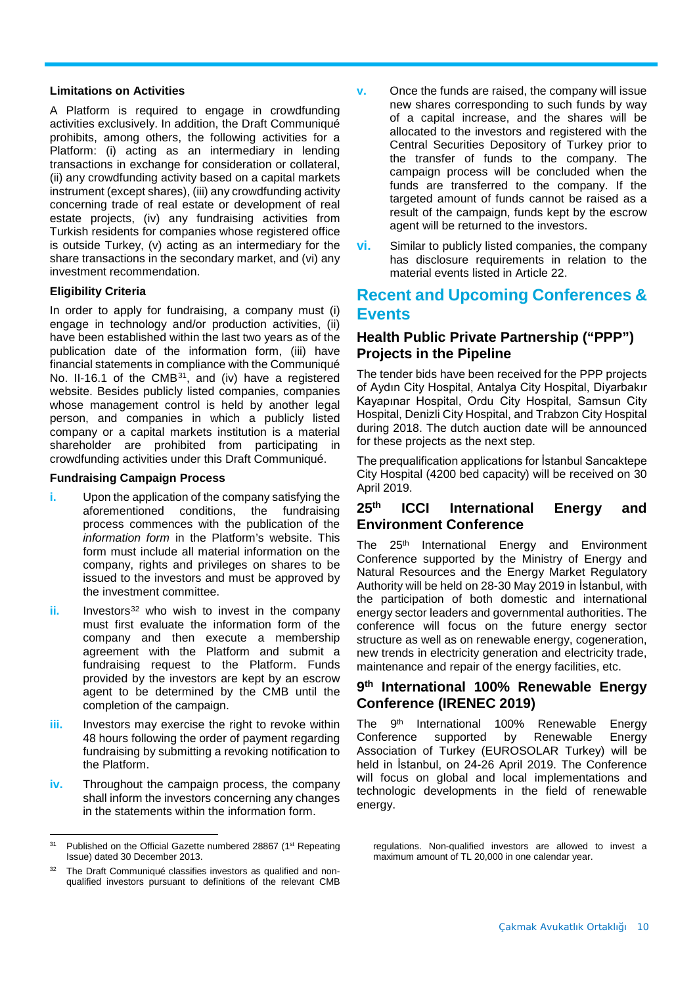#### **Limitations on Activities**

A Platform is required to engage in crowdfunding activities exclusively. In addition, the Draft Communiqué prohibits, among others, the following activities for a Platform: (i) acting as an intermediary in lending transactions in exchange for consideration or collateral, (ii) any crowdfunding activity based on a capital markets instrument (except shares), (iii) any crowdfunding activity concerning trade of real estate or development of real estate projects, (iv) any fundraising activities from Turkish residents for companies whose registered office is outside Turkey, (v) acting as an intermediary for the share transactions in the secondary market, and (vi) any investment recommendation.

#### **Eligibility Criteria**

In order to apply for fundraising, a company must (i) engage in technology and/or production activities, (ii) have been established within the last two years as of the publication date of the information form, (iii) have financial statements in compliance with the Communiqué No. II-16.1 of the CMB<sup>[31](#page-9-0)</sup>, and (iv) have a registered website. Besides publicly listed companies, companies whose management control is held by another legal person, and companies in which a publicly listed company or a capital markets institution is a material shareholder are prohibited from participating in crowdfunding activities under this Draft Communiqué.

#### **Fundraising Campaign Process**

- **i.** Upon the application of the company satisfying the aforementioned conditions, the fundraising process commences with the publication of the *information form* in the Platform's website. This form must include all material information on the company, rights and privileges on shares to be issued to the investors and must be approved by the investment committee.
- **ii.** Investors<sup>[32](#page-9-1)</sup> who wish to invest in the company must first evaluate the information form of the company and then execute a membership agreement with the Platform and submit a fundraising request to the Platform. Funds provided by the investors are kept by an escrow agent to be determined by the CMB until the completion of the campaign.
- **iii.** Investors may exercise the right to revoke within 48 hours following the order of payment regarding fundraising by submitting a revoking notification to the Platform.
- **iv.** Throughout the campaign process, the company shall inform the investors concerning any changes in the statements within the information form.
- **v.** Once the funds are raised, the company will issue new shares corresponding to such funds by way of a capital increase, and the shares will be allocated to the investors and registered with the Central Securities Depository of Turkey prior to the transfer of funds to the company. The campaign process will be concluded when the funds are transferred to the company. If the targeted amount of funds cannot be raised as a result of the campaign, funds kept by the escrow agent will be returned to the investors.
- **vi.** Similar to publicly listed companies, the company has disclosure requirements in relation to the material events listed in Article 22.

# **Recent and Upcoming Conferences & Events**

## **Health Public Private Partnership ("PPP") Projects in the Pipeline**

The tender bids have been received for the PPP projects of Aydın City Hospital, Antalya City Hospital, Diyarbakır Kayapınar Hospital, Ordu City Hospital, Samsun City Hospital, Denizli City Hospital, and Trabzon City Hospital during 2018. The dutch auction date will be announced for these projects as the next step.

The prequalification applications for İstanbul Sancaktepe City Hospital (4200 bed capacity) will be received on 30 April 2019.

## **25th ICCI International Energy and Environment Conference**

The 25<sup>th</sup> International Energy and Environment Conference supported by the Ministry of Energy and Natural Resources and the Energy Market Regulatory Authority will be held on 28-30 May 2019 in İstanbul, with the participation of both domestic and international energy sector leaders and governmental authorities. The conference will focus on the future energy sector structure as well as on renewable energy, cogeneration, new trends in electricity generation and electricity trade, maintenance and repair of the energy facilities, etc.

## **9th International 100% Renewable Energy Conference (IRENEC 2019)**

The 9<sup>th</sup> International 100% Renewable Energy<br>Conference supported by Renewable Energy supported by Renewable Energy Association of Turkey (EUROSOLAR Turkey) will be held in İstanbul, on 24-26 April 2019. The Conference will focus on global and local implementations and technologic developments in the field of renewable energy.

<span id="page-9-0"></span> $31$ Published on the Official Gazette numbered 28867 (1st Repeating Issue) dated 30 December 2013.

<span id="page-9-1"></span><sup>&</sup>lt;sup>32</sup> The Draft Communiqué classifies investors as qualified and nonqualified investors pursuant to definitions of the relevant CMB

regulations. Non-qualified investors are allowed to invest a maximum amount of TL 20,000 in one calendar year.